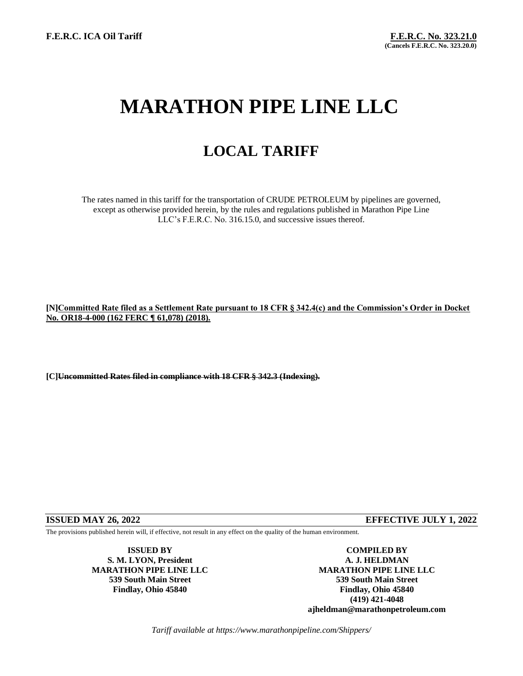# **MARATHON PIPE LINE LLC**

## **LOCAL TARIFF**

The rates named in this tariff for the transportation of CRUDE PETROLEUM by pipelines are governed, except as otherwise provided herein, by the rules and regulations published in Marathon Pipe Line LLC's F.E.R.C. No. 316.15.0, and successive issues thereof.

### **[N]Committed Rate filed as a Settlement Rate pursuant to 18 CFR § 342.4(c) and the Commission's Order in Docket No. OR18-4-000 (162 FERC ¶ 61,078) (2018).**

**[C]Uncommitted Rates filed in compliance with 18 CFR § 342.3 (Indexing).**

### **ISSUED MAY 26, 2022 EFFECTIVE JULY 1, 2022**

The provisions published herein will, if effective, not result in any effect on the quality of the human environment.

**S. M. LYON, President A. J. HELDMAN**

**ISSUED BY COMPILED BY MARATHON PIPE LINE LLC MARATHON PIPE LINE LLC 539 South Main Street 539 South Main Street Findlay, Ohio 45840 Findlay, Ohio 45840 (419) 421-4048 ajheldman@marathonpetroleum.com**

*Tariff available at https://www.marathonpipeline.com/Shippers/*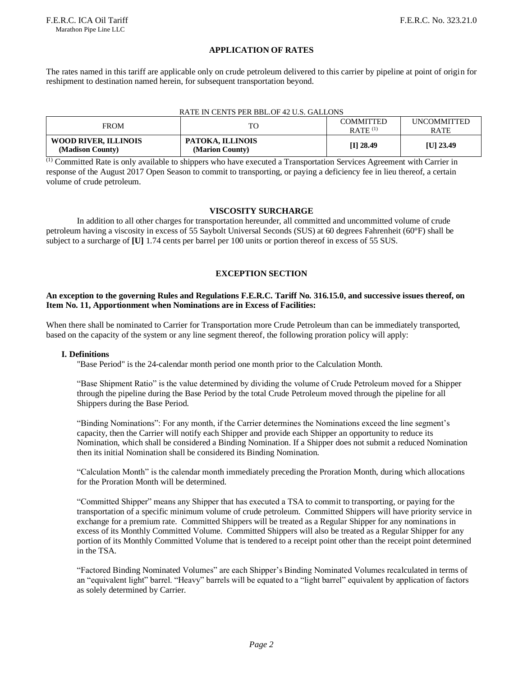#### **APPLICATION OF RATES**

The rates named in this tariff are applicable only on crude petroleum delivered to this carrier by pipeline at point of origin for reshipment to destination named herein, for subsequent transportation beyond.

#### RATE IN CENTS PER BBL.OF 42 U.S. GALLONS

| <b>FROM</b>                                     | TO.                                 | COMMITTED<br>$RATE$ <sup>(1)</sup> | <b>UNCOMMITTED</b><br><b>RATE</b> |
|-------------------------------------------------|-------------------------------------|------------------------------------|-----------------------------------|
| <b>WOOD RIVER, ILLINOIS</b><br>(Madison County) | PATOKA, ILLINOIS<br>(Marion County) | $[I]$ 28.49                        | [U] 23.49                         |

(1) Committed Rate is only available to shippers who have executed a Transportation Services Agreement with Carrier in response of the August 2017 Open Season to commit to transporting, or paying a deficiency fee in lieu thereof, a certain volume of crude petroleum.

#### **VISCOSITY SURCHARGE**

In addition to all other charges for transportation hereunder, all committed and uncommitted volume of crude petroleum having a viscosity in excess of 55 Saybolt Universal Seconds (SUS) at 60 degrees Fahrenheit (60°F) shall be subject to a surcharge of **[U]** 1.74 cents per barrel per 100 units or portion thereof in excess of 55 SUS.

#### **EXCEPTION SECTION**

#### **An exception to the governing Rules and Regulations F.E.R.C. Tariff No. 316.15.0, and successive issues thereof, on Item No. 11, Apportionment when Nominations are in Excess of Facilities:**

When there shall be nominated to Carrier for Transportation more Crude Petroleum than can be immediately transported, based on the capacity of the system or any line segment thereof, the following proration policy will apply:

#### **I. Definitions**

"Base Period" is the 24-calendar month period one month prior to the Calculation Month.

"Base Shipment Ratio" is the value determined by dividing the volume of Crude Petroleum moved for a Shipper through the pipeline during the Base Period by the total Crude Petroleum moved through the pipeline for all Shippers during the Base Period.

"Binding Nominations": For any month, if the Carrier determines the Nominations exceed the line segment's capacity, then the Carrier will notify each Shipper and provide each Shipper an opportunity to reduce its Nomination, which shall be considered a Binding Nomination. If a Shipper does not submit a reduced Nomination then its initial Nomination shall be considered its Binding Nomination.

"Calculation Month" is the calendar month immediately preceding the Proration Month, during which allocations for the Proration Month will be determined.

"Committed Shipper" means any Shipper that has executed a TSA to commit to transporting, or paying for the transportation of a specific minimum volume of crude petroleum. Committed Shippers will have priority service in exchange for a premium rate. Committed Shippers will be treated as a Regular Shipper for any nominations in excess of its Monthly Committed Volume. Committed Shippers will also be treated as a Regular Shipper for any portion of its Monthly Committed Volume that is tendered to a receipt point other than the receipt point determined in the TSA.

"Factored Binding Nominated Volumes" are each Shipper's Binding Nominated Volumes recalculated in terms of an "equivalent light" barrel. "Heavy" barrels will be equated to a "light barrel" equivalent by application of factors as solely determined by Carrier.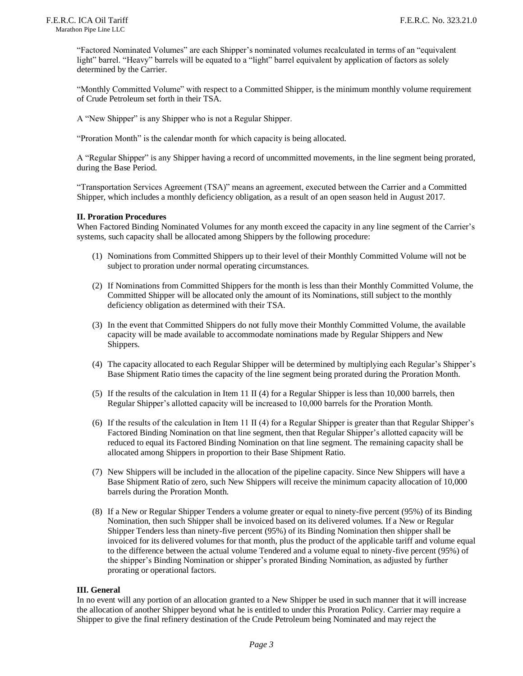"Factored Nominated Volumes" are each Shipper's nominated volumes recalculated in terms of an "equivalent light" barrel. "Heavy" barrels will be equated to a "light" barrel equivalent by application of factors as solely determined by the Carrier.

"Monthly Committed Volume" with respect to a Committed Shipper, is the minimum monthly volume requirement of Crude Petroleum set forth in their TSA.

A "New Shipper" is any Shipper who is not a Regular Shipper.

"Proration Month" is the calendar month for which capacity is being allocated.

A "Regular Shipper" is any Shipper having a record of uncommitted movements, in the line segment being prorated, during the Base Period.

"Transportation Services Agreement (TSA)" means an agreement, executed between the Carrier and a Committed Shipper, which includes a monthly deficiency obligation, as a result of an open season held in August 2017.

#### **II. Proration Procedures**

When Factored Binding Nominated Volumes for any month exceed the capacity in any line segment of the Carrier's systems, such capacity shall be allocated among Shippers by the following procedure:

- (1) Nominations from Committed Shippers up to their level of their Monthly Committed Volume will not be subject to proration under normal operating circumstances.
- (2) If Nominations from Committed Shippers for the month is less than their Monthly Committed Volume, the Committed Shipper will be allocated only the amount of its Nominations, still subject to the monthly deficiency obligation as determined with their TSA.
- (3) In the event that Committed Shippers do not fully move their Monthly Committed Volume, the available capacity will be made available to accommodate nominations made by Regular Shippers and New Shippers.
- (4) The capacity allocated to each Regular Shipper will be determined by multiplying each Regular's Shipper's Base Shipment Ratio times the capacity of the line segment being prorated during the Proration Month.
- (5) If the results of the calculation in Item 11 II (4) for a Regular Shipper is less than 10,000 barrels, then Regular Shipper's allotted capacity will be increased to 10,000 barrels for the Proration Month.
- (6) If the results of the calculation in Item 11 II (4) for a Regular Shipper is greater than that Regular Shipper's Factored Binding Nomination on that line segment, then that Regular Shipper's allotted capacity will be reduced to equal its Factored Binding Nomination on that line segment. The remaining capacity shall be allocated among Shippers in proportion to their Base Shipment Ratio.
- (7) New Shippers will be included in the allocation of the pipeline capacity. Since New Shippers will have a Base Shipment Ratio of zero, such New Shippers will receive the minimum capacity allocation of 10,000 barrels during the Proration Month.
- (8) If a New or Regular Shipper Tenders a volume greater or equal to ninety-five percent (95%) of its Binding Nomination, then such Shipper shall be invoiced based on its delivered volumes. If a New or Regular Shipper Tenders less than ninety-five percent (95%) of its Binding Nomination then shipper shall be invoiced for its delivered volumes for that month, plus the product of the applicable tariff and volume equal to the difference between the actual volume Tendered and a volume equal to ninety-five percent (95%) of the shipper's Binding Nomination or shipper's prorated Binding Nomination, as adjusted by further prorating or operational factors.

#### **III. General**

In no event will any portion of an allocation granted to a New Shipper be used in such manner that it will increase the allocation of another Shipper beyond what he is entitled to under this Proration Policy. Carrier may require a Shipper to give the final refinery destination of the Crude Petroleum being Nominated and may reject the